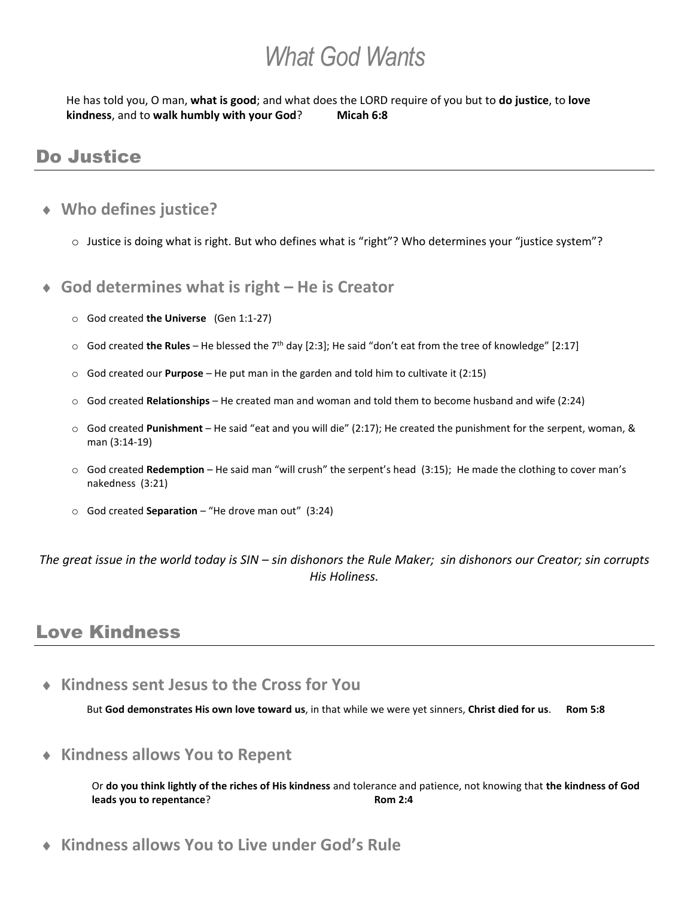# *What God Wants*

He has told you, O man, **what is good**; and what does the LORD require of you but to **do justice**, to **love kindness**, and to walk humbly with your God? Micah 6:8

## Do Justice

#### **Who defines justice?**

o Justice is doing what is right. But who defines what is "right"? Who determines your "justice system"?

#### **God determines what is right – He is Creator**

- o God created **the Universe** (Gen 1:1-27)
- o God created **the Rules** He blessed the 7th day [2:3]; He said "don't eat from the tree of knowledge" [2:17]
- o God created our **Purpose** He put man in the garden and told him to cultivate it (2:15)
- o God created **Relationships** He created man and woman and told them to become husband and wife (2:24)
- o God created **Punishment** He said "eat and you will die" (2:17); He created the punishment for the serpent, woman, & man (3:14-19)
- o God created **Redemption** He said man "will crush" the serpent's head (3:15); He made the clothing to cover man's nakedness (3:21)
- o God created **Separation** "He drove man out" (3:24)

*The great issue in the world today is SIN – sin dishonors the Rule Maker; sin dishonors our Creator; sin corrupts His Holiness.*

### Love Kindness

**Kindness sent Jesus to the Cross for You**

But **God demonstrates His own love toward us**, in that while we were yet sinners, **Christ died for us**. **Rom 5:8**

**Kindness allows You to Repent**

Or **do you think lightly of the riches of His kindness** and tolerance and patience, not knowing that **the kindness of God leads you to repentance? Rom 2:4** 

**Kindness allows You to Live under God's Rule**